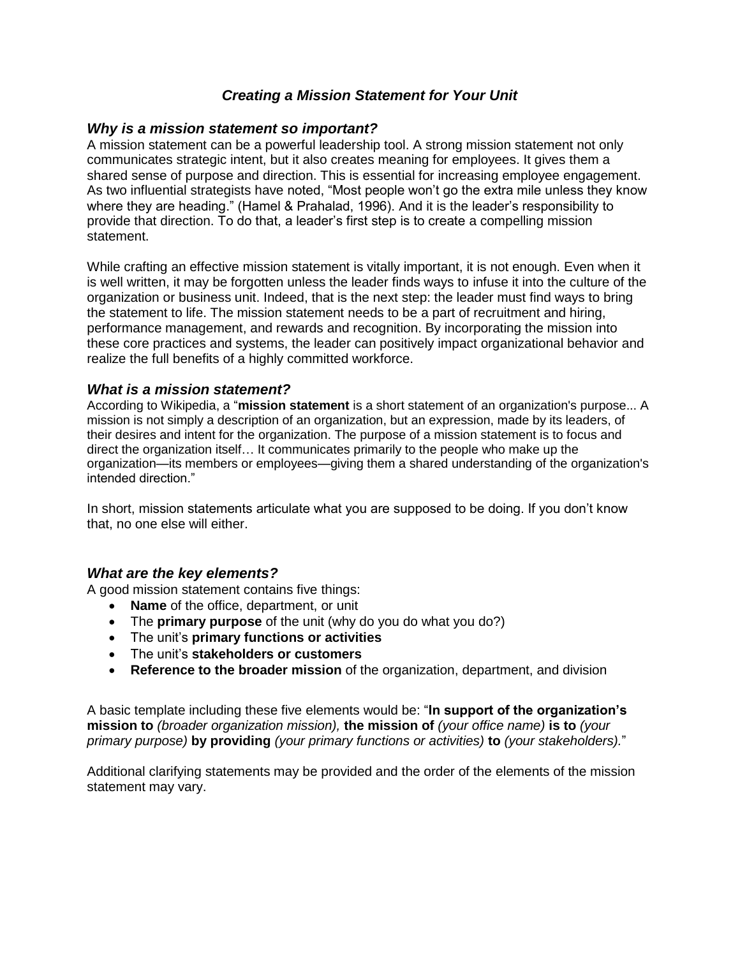## *Creating a Mission Statement for Your Unit*

#### *Why is a mission statement so important?*

A mission statement can be a powerful leadership tool. A strong mission statement not only communicates strategic intent, but it also creates meaning for employees. It gives them a shared sense of purpose and direction. This is essential for increasing employee engagement. As two influential strategists have noted, "Most people won't go the extra mile unless they know where they are heading." (Hamel & Prahalad, 1996). And it is the leader's responsibility to provide that direction. To do that, a leader's first step is to create a compelling mission statement.

While crafting an effective mission statement is vitally important, it is not enough. Even when it is well written, it may be forgotten unless the leader finds ways to infuse it into the culture of the organization or business unit. Indeed, that is the next step: the leader must find ways to bring the statement to life. The mission statement needs to be a part of recruitment and hiring, performance management, and rewards and recognition. By incorporating the mission into these core practices and systems, the leader can positively impact organizational behavior and realize the full benefits of a highly committed workforce.

#### *What is a mission statement?*

According to Wikipedia, a "**mission statement** is a short statement of an [organization'](https://en.wikipedia.org/wiki/Organization)s purpose... A mission is not simply a description of an organization, but an expression, made by its leaders, of their desires and intent for the organization. The purpose of a mission statement is to focus and direct the organization itself… It communicates primarily to the people who make up the organization—its members or employees—giving them a shared understanding of the organization's intended direction."

In short, mission statements articulate what you are supposed to be doing. If you don't know that, no one else will either.

### *What are the key elements?*

A good mission statement contains five things:

- **Name** of the office, department, or unit
- The **primary purpose** of the unit (why do you do what you do?)
- The unit's **primary functions or activities**
- The unit's **stakeholders or customers**
- **Reference to the broader mission** of the organization, department, and division

A basic template including these five elements would be: "**In support of the organization's mission to** *(broader organization mission),* **the mission of** *(your office name)* **is to** *(your primary purpose)* **by providing** *(your primary functions or activities)* **to** *(your stakeholders).*"

Additional clarifying statements may be provided and the order of the elements of the mission statement may vary.